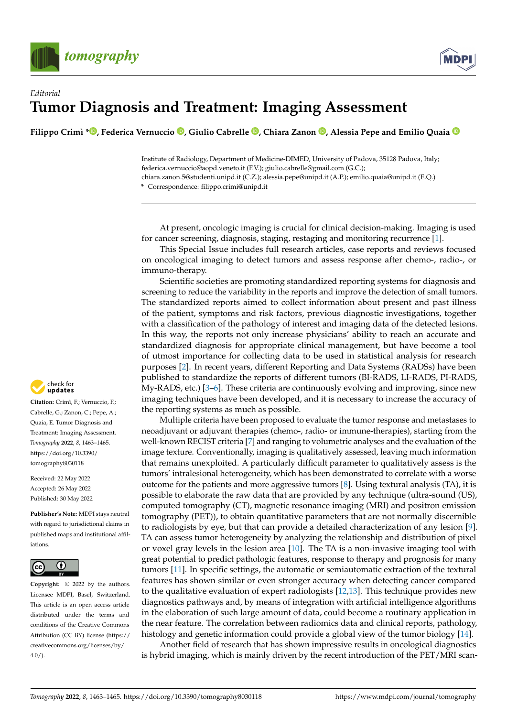

## *Editorial* **Tumor Diagnosis and Treatment: Imaging Assessment**

**Filippo Crimì \* [,](https://orcid.org/0000-0001-6822-1430) Federica Vernuccio [,](https://orcid.org/0000-0003-0350-1794) Giulio Cabrelle [,](https://orcid.org/0000-0002-9430-1036) Chiara Zanon [,](https://orcid.org/0000-0002-7917-5027) Alessia Pepe and Emilio Quaia**

Institute of Radiology, Department of Medicine-DIMED, University of Padova, 35128 Padova, Italy; federica.vernuccio@aopd.veneto.it (F.V.); giulio.cabrelle@gmail.com (G.C.); chiara.zanon.5@studenti.unipd.it (C.Z.); alessia.pepe@unipd.it (A.P.); emilio.quaia@unipd.it (E.Q.)

**\*** Correspondence: filippo.crimi@unipd.it

At present, oncologic imaging is crucial for clinical decision-making. Imaging is used for cancer screening, diagnosis, staging, restaging and monitoring recurrence [\[1\]](#page-1-0).

This Special Issue includes full research articles, case reports and reviews focused on oncological imaging to detect tumors and assess response after chemo-, radio-, or immuno-therapy.

Scientific societies are promoting standardized reporting systems for diagnosis and screening to reduce the variability in the reports and improve the detection of small tumors. The standardized reports aimed to collect information about present and past illness of the patient, symptoms and risk factors, previous diagnostic investigations, together with a classification of the pathology of interest and imaging data of the detected lesions. In this way, the reports not only increase physicians' ability to reach an accurate and standardized diagnosis for appropriate clinical management, but have become a tool of utmost importance for collecting data to be used in statistical analysis for research purposes [\[2\]](#page-1-1). In recent years, different Reporting and Data Systems (RADSs) have been published to standardize the reports of different tumors (BI-RADS, LI-RADS, PI-RADS, My-RADS, etc.) [\[3](#page-1-2)[–6\]](#page-1-3). These criteria are continuously evolving and improving, since new imaging techniques have been developed, and it is necessary to increase the accuracy of the reporting systems as much as possible.

Multiple criteria have been proposed to evaluate the tumor response and metastases to neoadjuvant or adjuvant therapies (chemo-, radio- or immune-therapies), starting from the well-known RECIST criteria [\[7\]](#page-1-4) and ranging to volumetric analyses and the evaluation of the image texture. Conventionally, imaging is qualitatively assessed, leaving much information that remains unexploited. A particularly difficult parameter to qualitatively assess is the tumors' intralesional heterogeneity, which has been demonstrated to correlate with a worse outcome for the patients and more aggressive tumors [\[8\]](#page-1-5). Using textural analysis (TA), it is possible to elaborate the raw data that are provided by any technique (ultra-sound (US), computed tomography (CT), magnetic resonance imaging (MRI) and positron emission tomography (PET)), to obtain quantitative parameters that are not normally discernible to radiologists by eye, but that can provide a detailed characterization of any lesion [\[9\]](#page-1-6). TA can assess tumor heterogeneity by analyzing the relationship and distribution of pixel or voxel gray levels in the lesion area [\[10\]](#page-1-7). The TA is a non-invasive imaging tool with great potential to predict pathologic features, response to therapy and prognosis for many tumors [\[11\]](#page-1-8). In specific settings, the automatic or semiautomatic extraction of the textural features has shown similar or even stronger accuracy when detecting cancer compared to the qualitative evaluation of expert radiologists [\[12](#page-2-0)[,13\]](#page-2-1). This technique provides new diagnostics pathways and, by means of integration with artificial intelligence algorithms in the elaboration of such large amount of data, could become a routinary application in the near feature. The correlation between radiomics data and clinical reports, pathology, histology and genetic information could provide a global view of the tumor biology [\[14\]](#page-2-2).

Another field of research that has shown impressive results in oncological diagnostics is hybrid imaging, which is mainly driven by the recent introduction of the PET/MRI scan-



**Citation:** Crimì, F.; Vernuccio, F.; Cabrelle, G.; Zanon, C.; Pepe, A.; Quaia, E. Tumor Diagnosis and Treatment: Imaging Assessment. *Tomography* **2022**, *8*, 1463–1465. [https://doi.org/10.3390/](https://doi.org/10.3390/tomography8030118) [tomography8030118](https://doi.org/10.3390/tomography8030118)

Received: 22 May 2022 Accepted: 26 May 2022 Published: 30 May 2022

**Publisher's Note:** MDPI stays neutral with regard to jurisdictional claims in published maps and institutional affiliations.



**Copyright:** © 2022 by the authors. Licensee MDPI, Basel, Switzerland. This article is an open access article distributed under the terms and conditions of the Creative Commons Attribution (CC BY) license [\(https://](https://creativecommons.org/licenses/by/4.0/) [creativecommons.org/licenses/by/](https://creativecommons.org/licenses/by/4.0/)  $4.0/$ ).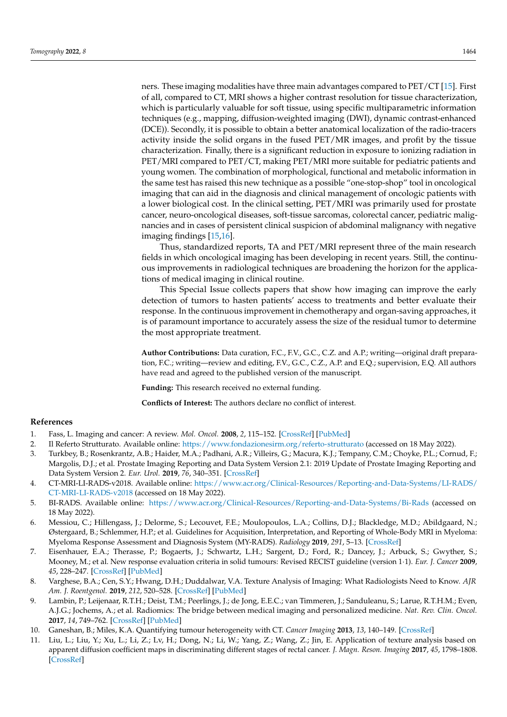ners. These imaging modalities have three main advantages compared to PET/CT [\[15\]](#page-2-3). First of all, compared to CT, MRI shows a higher contrast resolution for tissue characterization, which is particularly valuable for soft tissue, using specific multiparametric information techniques (e.g., mapping, diffusion-weighted imaging (DWI), dynamic contrast-enhanced (DCE)). Secondly, it is possible to obtain a better anatomical localization of the radio-tracers activity inside the solid organs in the fused PET/MR images, and profit by the tissue characterization. Finally, there is a significant reduction in exposure to ionizing radiation in PET/MRI compared to PET/CT, making PET/MRI more suitable for pediatric patients and young women. The combination of morphological, functional and metabolic information in the same test has raised this new technique as a possible "one-stop-shop" tool in oncological imaging that can aid in the diagnosis and clinical management of oncologic patients with a lower biological cost. In the clinical setting, PET/MRI was primarily used for prostate cancer, neuro-oncological diseases, soft-tissue sarcomas, colorectal cancer, pediatric malignancies and in cases of persistent clinical suspicion of abdominal malignancy with negative imaging findings [\[15](#page-2-3)[,16\]](#page-2-4).

Thus, standardized reports, TA and PET/MRI represent three of the main research fields in which oncological imaging has been developing in recent years. Still, the continuous improvements in radiological techniques are broadening the horizon for the applications of medical imaging in clinical routine.

This Special Issue collects papers that show how imaging can improve the early detection of tumors to hasten patients' access to treatments and better evaluate their response. In the continuous improvement in chemotherapy and organ-saving approaches, it is of paramount importance to accurately assess the size of the residual tumor to determine the most appropriate treatment.

**Author Contributions:** Data curation, F.C., F.V., G.C., C.Z. and A.P.; writing—original draft preparation, F.C.; writing—review and editing, F.V., G.C., C.Z., A.P. and E.Q.; supervision, E.Q. All authors have read and agreed to the published version of the manuscript.

**Funding:** This research received no external funding.

**Conflicts of Interest:** The authors declare no conflict of interest.

## **References**

- <span id="page-1-0"></span>1. Fass, L. Imaging and cancer: A review. *Mol. Oncol.* **2008**, *2*, 115–152. [\[CrossRef\]](http://doi.org/10.1016/j.molonc.2008.04.001) [\[PubMed\]](http://www.ncbi.nlm.nih.gov/pubmed/19383333)
- <span id="page-1-1"></span>2. Il Referto Strutturato. Available online: <https://www.fondazionesirm.org/referto-strutturato> (accessed on 18 May 2022).
- <span id="page-1-2"></span>3. Turkbey, B.; Rosenkrantz, A.B.; Haider, M.A.; Padhani, A.R.; Villeirs, G.; Macura, K.J.; Tempany, C.M.; Choyke, P.L.; Cornud, F.; Margolis, D.J.; et al. Prostate Imaging Reporting and Data System Version 2.1: 2019 Update of Prostate Imaging Reporting and Data System Version 2. *Eur. Urol.* **2019**, *76*, 340–351. [\[CrossRef\]](http://doi.org/10.1016/j.eururo.2019.02.033)
- 4. CT-MRI-LI-RADS-v2018. Available online: [https://www.acr.org/Clinical-Resources/Reporting-and-Data-Systems/LI-RADS/](https://www.acr.org/Clinical-Resources/Reporting-and-Data-Systems/LI-RADS/CT-MRI-LI-RADS-v2018) [CT-MRI-LI-RADS-v2018](https://www.acr.org/Clinical-Resources/Reporting-and-Data-Systems/LI-RADS/CT-MRI-LI-RADS-v2018) (accessed on 18 May 2022).
- 5. BI-RADS. Available online: <https://www.acr.org/Clinical-Resources/Reporting-and-Data-Systems/Bi-Rads> (accessed on 18 May 2022).
- <span id="page-1-3"></span>6. Messiou, C.; Hillengass, J.; Delorme, S.; Lecouvet, F.E.; Moulopoulos, L.A.; Collins, D.J.; Blackledge, M.D.; Abildgaard, N.; Østergaard, B.; Schlemmer, H.P.; et al. Guidelines for Acquisition, Interpretation, and Reporting of Whole-Body MRI in Myeloma: Myeloma Response Assessment and Diagnosis System (MY-RADS). *Radiology* **2019**, *291*, 5–13. [\[CrossRef\]](http://doi.org/10.1148/radiol.2019181949)
- <span id="page-1-4"></span>7. Eisenhauer, E.A.; Therasse, P.; Bogaerts, J.; Schwartz, L.H.; Sargent, D.; Ford, R.; Dancey, J.; Arbuck, S.; Gwyther, S.; Mooney, M.; et al. New response evaluation criteria in solid tumours: Revised RECIST guideline (version 1·1). *Eur. J. Cancer* **2009**, *45*, 228–247. [\[CrossRef\]](http://doi.org/10.1016/j.ejca.2008.10.026) [\[PubMed\]](http://www.ncbi.nlm.nih.gov/pubmed/19097774)
- <span id="page-1-5"></span>8. Varghese, B.A.; Cen, S.Y.; Hwang, D.H.; Duddalwar, V.A. Texture Analysis of Imaging: What Radiologists Need to Know. *AJR Am. J. Roentgenol.* **2019**, *212*, 520–528. [\[CrossRef\]](http://doi.org/10.2214/AJR.18.20624) [\[PubMed\]](http://www.ncbi.nlm.nih.gov/pubmed/30645163)
- <span id="page-1-6"></span>9. Lambin, P.; Leijenaar, R.T.H.; Deist, T.M.; Peerlings, J.; de Jong, E.E.C.; van Timmeren, J.; Sanduleanu, S.; Larue, R.T.H.M.; Even, A.J.G.; Jochems, A.; et al. Radiomics: The bridge between medical imaging and personalized medicine. *Nat. Rev. Clin. Oncol.* **2017**, *14*, 749–762. [\[CrossRef\]](http://doi.org/10.1038/nrclinonc.2017.141) [\[PubMed\]](http://www.ncbi.nlm.nih.gov/pubmed/28975929)
- <span id="page-1-7"></span>10. Ganeshan, B.; Miles, K.A. Quantifying tumour heterogeneity with CT. *Cancer Imaging* **2013**, *13*, 140–149. [\[CrossRef\]](http://doi.org/10.1102/1470-7330.2013.0015)
- <span id="page-1-8"></span>11. Liu, L.; Liu, Y.; Xu, L.; Li, Z.; Lv, H.; Dong, N.; Li, W.; Yang, Z.; Wang, Z.; Jin, E. Application of texture analysis based on apparent diffusion coefficient maps in discriminating different stages of rectal cancer. *J. Magn. Reson. Imaging* **2017**, *45*, 1798–1808. [\[CrossRef\]](http://doi.org/10.1002/jmri.25460)